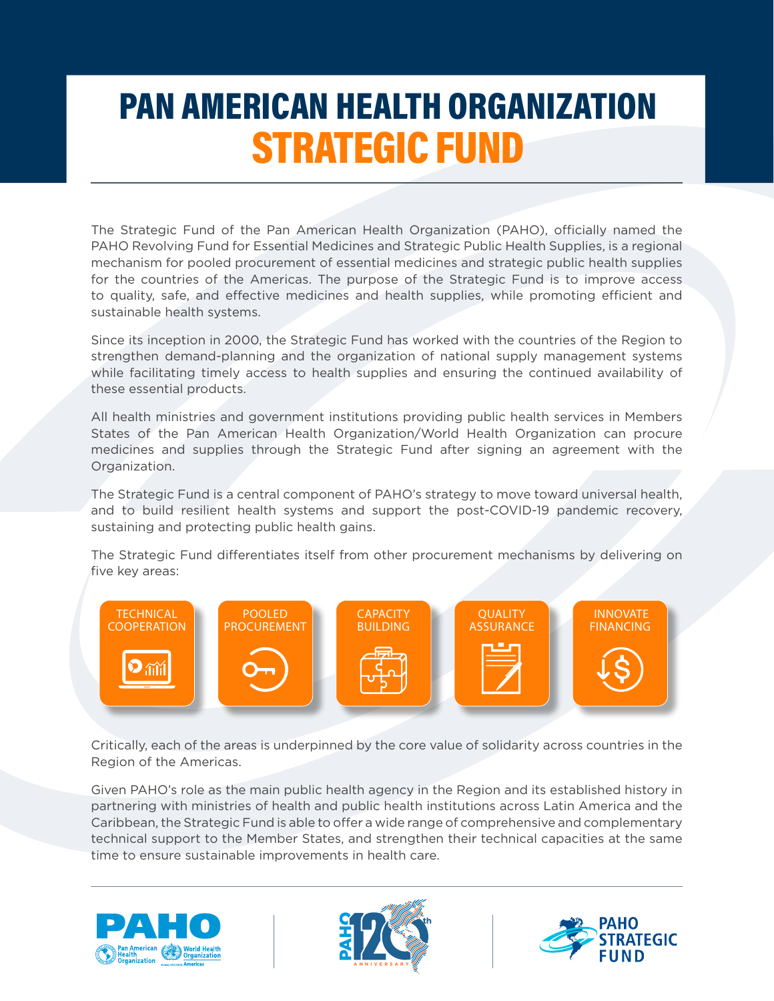## PAN AMERICAN HEALTH ORGANIZATION STRATEGIC FUND

The Strategic Fund of the Pan American Health Organization (PAHO), officially named the PAHO Revolving Fund for Essential Medicines and Strategic Public Health Supplies, is a regional mechanism for pooled procurement of essential medicines and strategic public health supplies for the countries of the Americas. The purpose of the Strategic Fund is to improve access to quality, safe, and effective medicines and health supplies, while promoting efficient and sustainable health systems.

Since its inception in 2000, the Strategic Fund has worked with the countries of the Region to strengthen demand-planning and the organization of national supply management systems while facilitating timely access to health supplies and ensuring the continued availability of these essential products.

All health ministries and government institutions providing public health services in Members States of the Pan American Health Organization/World Health Organization can procure medicines and supplies through the Strategic Fund after signing an agreement with the Organization.

The Strategic Fund is a central component of PAHO's strategy to move toward universal health, and to build resilient health systems and support the post-COVID-19 pandemic recovery, sustaining and protecting public health gains.

The Strategic Fund differentiates itself from other procurement mechanisms by delivering on five key areas:



Critically, each of the areas is underpinned by the core value of solidarity across countries in the Region of the Americas.

Given PAHO's role as the main public health agency in the Region and its established history in partnering with ministries of health and public health institutions across Latin America and the Caribbean, the Strategic Fund is able to offer a wide range of comprehensive and complementary technical support to the Member States, and strengthen their technical capacities at the same time to ensure sustainable improvements in health care.





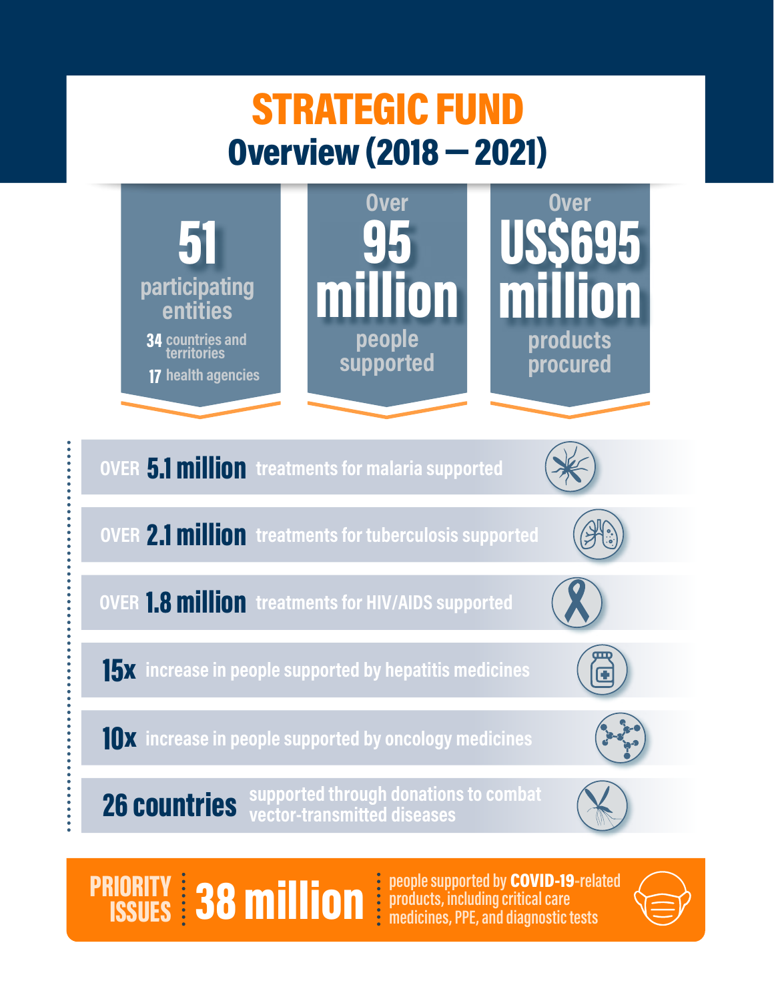# STRATEGIC FUND Overview (2018 — 2021)



**PRIORITY:** 38 **million** is people supported by COVID-19-relation (SSUES: 138 million) ISSUES

people supported by **COVID-19-related**<br>products, including critical care

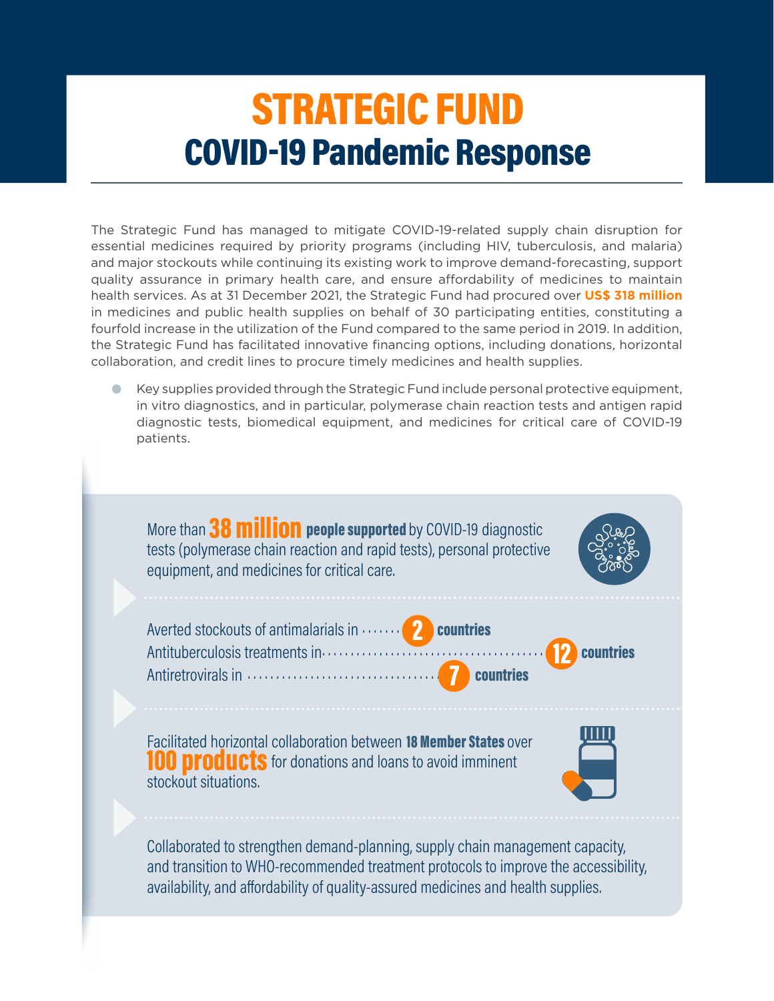## STRATEGIC FUND COVID-19 Pandemic Response

The Strategic Fund has managed to mitigate COVID-19-related supply chain disruption for essential medicines required by priority programs (including HIV, tuberculosis, and malaria) and major stockouts while continuing its existing work to improve demand-forecasting, support quality assurance in primary health care, and ensure affordability of medicines to maintain health services. As at 31 December 2021, the Strategic Fund had procured over **US\$ 318 million**  in medicines and public health supplies on behalf of 30 participating entities, constituting a fourfold increase in the utilization of the Fund compared to the same period in 2019. In addition, the Strategic Fund has facilitated innovative financing options, including donations, horizontal collaboration, and credit lines to procure timely medicines and health supplies.

• Key supplies provided through the Strategic Fund include personal protective equipment, in vitro diagnostics, and in particular, polymerase chain reaction tests and antigen rapid diagnostic tests, biomedical equipment, and medicines for critical care of COVID-19 patients.



and transition to WHO-recommended treatment protocols to improve the accessibility, availability, and affordability of quality-assured medicines and health supplies.